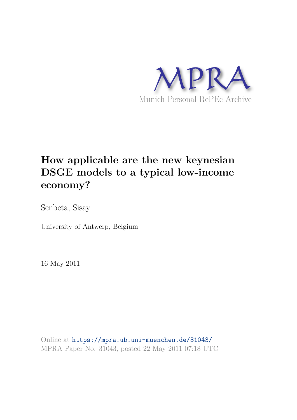

# **How applicable are the new keynesian DSGE models to a typical low-income economy?**

Senbeta, Sisay

University of Antwerp, Belgium

16 May 2011

Online at https://mpra.ub.uni-muenchen.de/31043/ MPRA Paper No. 31043, posted 22 May 2011 07:18 UTC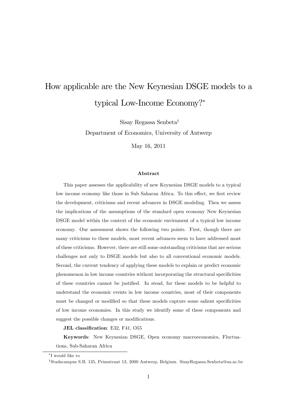## How applicable are the New Keynesian DSGE models to a typical Low-Income Economy?

Sisay Regassa Senbeta<sup>†</sup>

Department of Economics, University of Antwerp

May 16, 2011

#### Abstract

This paper assesses the applicability of new Keynesian DSGE models to a typical low income economy like those in Sub Saharan Africa. To this effect, we first review the development, criticisms and recent advances in DSGE modeling. Then we assess the implications of the assumptions of the standard open economy New Keynesian DSGE model within the context of the economic envirnment of a typical low income economy. Our assessment shows the following two points. First, though there are many criticisms to these models, most recent advances seem to have addressed most of these criticisms. However, there are still some outstanding criticisms that are serious challenges not only to DSGE models but also to all conventional economic models. Second, the current tendency of applying these models to explain or predict economic phenomenon in low income countries without incorporating the structural specificities of these countries cannot be justified. In stead, for these models to be helpful to understand the economic events in low income countries, most of their components must be changed or modified so that these models capture some salient specificities of low income economies. In this study we identify some of these components and suggest the possible changes or modifications.

JEL classification: E32, F41, O55

Keywords: New Keynesian DSGE, Open economy macroeconomics, Fluctuations, Sub-Saharan Africa

I would like to

<sup>&</sup>lt;sup>†</sup>Stadscampus S.B. 135, Prinsstraat 13, 2000 Antwerp, Belgium. SisayRegassa.Senbeta@ua.ac.be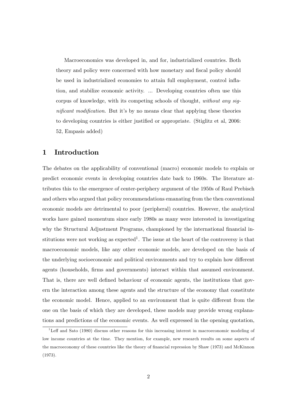Macroeconomics was developed in, and for, industrialized countries. Both theory and policy were concerned with how monetary and fiscal policy should be used in industrialized economies to attain full employment, control ináation, and stabilize economic activity. ... Developing countries often use this corpus of knowledge, with its competing schools of thought, without any significant modification. But it's by no means clear that applying these theories to developing countries is either justified or appropriate. (Stiglitz et al, 2006: 52, Empasis added)

## 1 Introduction

The debates on the applicability of conventional (macro) economic models to explain or predict economic events in developing countries date back to 1960s. The literature attributes this to the emergence of center-periphery argument of the 1950s of Raul Prebisch and others who argued that policy recommendations emanating from the then conventional economic models are detrimental to poor (peripheral) countries. However, the analytical works have gained momentum since early 1980s as many were interested in investigating why the Structural Adjustment Programs, championed by the international financial institutions were not working as expected<sup>1</sup>. The issue at the heart of the controversy is that macroeconomic models, like any other economic models, are developed on the basis of the underlying socioeconomic and political environments and try to explain how different agents (households, Örms and governments) interact within that assumed environment. That is, there are well defined behaviour of economic agents, the institutions that govern the interaction among these agents and the structure of the economy that constitute the economic model. Hence, applied to an environment that is quite different from the one on the basis of which they are developed, these models may provide wrong explanations and predictions of the economic events. As well expressed in the opening quotation,

 $1$ Leff and Sato (1980) discuss other reasons for this increasing interest in macroeconomic modeling of low income countries at the time. They mention, for example, new research results on some aspects of the macroeconomy of these countries like the theory of financial repression by Shaw (1973) and McKinnon (1973).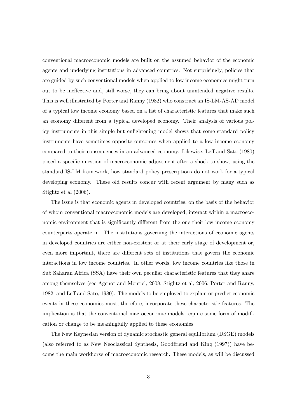conventional macroeconomic models are built on the assumed behavior of the economic agents and underlying institutions in advanced countries. Not surprisingly, policies that are guided by such conventional models when applied to low income economies might turn out to be ineffective and, still worse, they can bring about unintended negative results. This is well illustrated by Porter and Ranny (1982) who construct an IS-LM-AS-AD model of a typical low income economy based on a list of characteristic features that make such an economy different from a typical developed economy. Their analysis of various policy instruments in this simple but enlightening model shows that some standard policy instruments have sometimes opposite outcomes when applied to a low income economy compared to their consequences in an advanced economy. Likewise, Leff and Sato (1980) posed a specific question of macroeconomic adjustment after a shock to show, using the standard IS-LM framework, how standard policy prescriptions do not work for a typical developing economy. These old results concur with recent argument by many such as Stiglitz et al (2006).

The issue is that economic agents in developed countries, on the basis of the behavior of whom conventional macroeconomic models are developed, interact within a macroeconomic environment that is significantly different from the one their low income economy counterparts operate in. The institutions governing the interactions of economic agents in developed countries are either non-existent or at their early stage of development or, even more important, there are different sets of institutions that govern the economic interactions in low income countries. In other words, low income countries like those in Sub Saharan Africa (SSA) have their own peculiar characteristic features that they share among themselves (see Agenor and Montiel, 2008; Stiglitz et al, 2006; Porter and Ranny, 1982; and Leff and Sato, 1980). The models to be employed to explain or predict economic events in these economies must, therefore, incorporate these characteristic features. The implication is that the conventional macroeconomic models require some form of modification or change to be meaningfully applied to these economies.

The New Keynesian version of dynamic stochastic general equilibrium (DSGE) models (also referred to as New Neoclassical Synthesis, Goodfriend and King (1997)) have become the main workhorse of macroeconomic research. These models, as will be discussed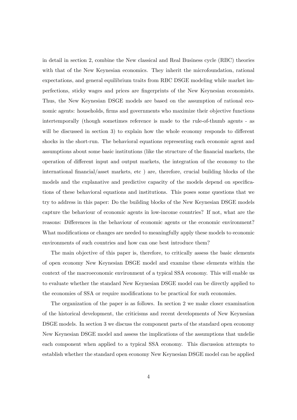in detail in section 2, combine the New classical and Real Business cycle (RBC) theories with that of the New Keynesian economics. They inherit the microfoundation, rational expectations, and general equilibrium traits from RBC DSGE modeling while market imperfections, sticky wages and prices are Öngerprints of the New Keynesian economists. Thus, the New Keynesian DSGE models are based on the assumption of rational economic agents: households, firms and governments who maximize their objective functions intertemporally (though sometimes reference is made to the rule-of-thumb agents - as will be discussed in section 3) to explain how the whole economy responds to different shocks in the short-run. The behavioral equations representing each economic agent and assumptions about some basic institutions (like the structure of the Önancial markets, the operation of different input and output markets, the integration of the economy to the international Önancial/asset markets, etc ) are, therefore, crucial building blocks of the models and the explanative and predictive capacity of the models depend on specifications of these behavioral equations and institutions. This poses some questions that we try to address in this paper: Do the building blocks of the New Keynesian DSGE models capture the behaviour of economic agents in low-income countries? If not, what are the reasons: Differences in the behaviour of economic agents or the economic environment? What modifications or changes are needed to meaningfully apply these models to economic environments of such countries and how can one best introduce them?

The main objective of this paper is, therefore, to critically assess the basic elements of open economy New Keynesian DSGE model and examine these elements within the context of the macroeconomic environment of a typical SSA economy. This will enable us to evaluate whether the standard New Keynesian DSGE model can be directly applied to the economies of SSA or require modifications to be practical for such economies.

The organization of the paper is as follows. In section 2 we make closer examination of the historical development, the criticisms and recent developments of New Keynesian DSGE models. In section 3 we discuss the component parts of the standard open economy New Keynesian DSGE model and assess the implications of the assumptions that undelie each component when applied to a typical SSA economy. This discussion attempts to establish whether the standard open economy New Keynesian DSGE model can be applied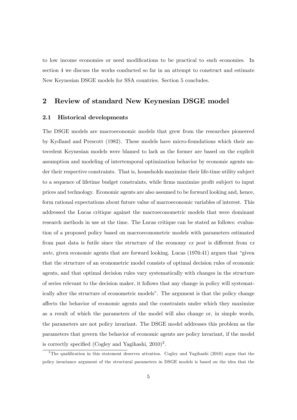to low income economies or need modifications to be practical to such economies. In section 4 we discuss the works conducted so far in an attempt to construct and estimate New Keynesian DSGE models for SSA countries. Section 5 concludes.

## 2 Review of standard New Keynesian DSGE model

#### 2.1 Historical developments

The DSGE models are macroeconomic models that grew from the researches pioneered by Kydland and Prescott (1982). These models have micro-foundations which their antecedent Keynesian models were blamed to lack as the former are based on the explicit assumption and modeling of intertemporal optimization behavior by economic agents under their respective constraints. That is, households maximize their life-time utility subject to a sequence of lifetime budget constraints, while firms maximize profit subject to input prices and technology. Economic agents are also assumed to be forward looking and, hence, form rational expectations about future value of macroeconomic variables of interest. This addressed the Lucas critique against the macroeconometric models that were dominant research methods in use at the time. The Lucas critique can be stated as follows: evaluation of a proposed policy based on macroeconometric models with parameters estimated from past data is futile since the structure of the economy  $ex$  post is different from  $ex$ ante, given economic agents that are forward looking. Lucas  $(1976.41)$  argues that "given that the structure of an econometric model consists of optimal decision rules of economic agents, and that optimal decision rules vary systematically with changes in the structure of series relevant to the decision maker, it follows that any change in policy will systematically alter the structure of econometric modelsî. The argument is that the policy change affects the behavior of economic agents and the constraints under which they maximize as a result of which the parameters of the model will also change or, in simple words, the parameters are not policy invariant. The DSGE model addresses this problem as the parameters that govern the behavior of economic agents are policy invariant, if the model is correctly specified (Cogley and Yagihashi,  $2010)^2$ .

<sup>&</sup>lt;sup>2</sup>The qualification in this statement deserves attention. Cogley and Yagihashi (2010) argue that the policy invariance argument of the structural parameters in DSGE models is based on the idea that the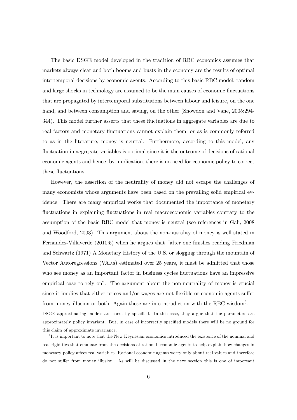The basic DSGE model developed in the tradition of RBC economics assumes that markets always clear and both booms and busts in the economy are the results of optimal intertemporal decisions by economic agents. According to this basic RBC model, random and large shocks in technology are assumed to be the main causes of economic fluctuations that are propagated by intertemporal substitutions between labour and leisure, on the one hand, and between consumption and saving, on the other (Snowdon and Vane, 2005:294-344). This model further asserts that these fluctuations in aggregate variables are due to real factors and monetary fluctuations cannot explain them, or as is commonly referred to as in the literature, money is neutral. Furthermore, according to this model, any fluctuation in aggregate variables is optimal since it is the outcome of decisions of rational economic agents and hence, by implication, there is no need for economic policy to correct these fluctuations.

However, the assertion of the neutrality of money did not escape the challenges of many economists whose arguments have been based on the prevailing solid empirical evidence. There are many empirical works that documented the importance of monetary fluctuations in explaining fluctuations in real macroeconomic variables contrary to the assumption of the basic RBC model that money is neutral (see references in Gali, 2008 and Woodford, 2003). This argument about the non-nutrality of money is well stated in Fernandez-Villaverde (2010:5) when he argues that "after one finishes reading Friedman and Schwartz (1971) A Monetary History of the U.S. or slogging through the mountain of Vector Autoregressions (VARs) estimated over 25 years, it must be admitted that those who see money as an important factor in business cycles fluctuations have an impressive empirical case to rely onî. The argument about the non-neutrality of money is crucial since it implies that either prices and/or wages are not flexible or economic agents suffer from money illusion or both. Again these are in contradiction with the RBC wisdom<sup>3</sup>.

DSGE approximating models are correctly specified. In this case, they argue that the parameters are approximately policy invariant. But, in case of incorrectly specified models there will be no ground for this claim of approximate invariance.

<sup>&</sup>lt;sup>3</sup>It is important to note that the New Keynesian economics introduced the existence of the nominal and real rigidities that emanate from the decisions of rational economic agents to help explain how changes in monetary policy affect real variables. Rational economic agents worry only about real values and therefore do not suffer from money illusion. As will be discussed in the next section this is one of important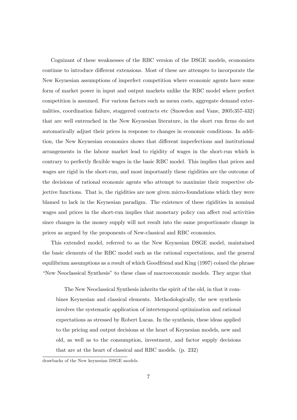Cognizant of these weaknesses of the RBC version of the DSGE models, economists continue to introduce different extensions. Most of these are attempts to incorporate the New Keynesian assumptions of imperfect competition where economic agents have some form of market power in input and output markets unlike the RBC model where perfect competition is assumed. For various factors such as menu costs, aggregate demand externalities, coordination failure, staggered contracts etc (Snowdon and Vane, 2005:357-432) that are well entrenched in the New Keynesian literature, in the short run firms do not automatically adjust their prices in response to changes in economic conditions. In addition, the New Keynesian economics shows that different imperfections and institutional arrangements in the labour market lead to rigidity of wages in the short-run which is contrary to perfectly flexible wages in the basic RBC model. This implies that prices and wages are rigid in the short-run, and most importantly these rigidities are the outcome of the decisions of rational economic agents who attempt to maximize their respective objective functions. That is, the rigidities are now given micro-foundations which they were blamed to lack in the Keynesian paradigm. The existence of these rigidities in nominal wages and prices in the short-run implies that monetary policy can affect real activities since changes in the money supply will not result into the same proportionate change in prices as argued by the proponents of New-classical and RBC economics.

This extended model, referred to as the New Keynesian DSGE model, maintained the basic elements of the RBC model such as the rational expectations, and the general equilibrium assumptions as a result of which Goodfriend and King (1997) coined the phrase ìNew Neoclassical Synthesisî to these class of macroeconomic models. They argue that

The New Neoclassical Synthesis inherits the spirit of the old, in that it combines Keynesian and classical elements. Methodologically, the new synthesis involves the systematic application of intertemporal optimization and rational expectations as stressed by Robert Lucas. In the synthesis, these ideas applied to the pricing and output decisions at the heart of Keynesian models, new and old, as well as to the consumption, investment, and factor supply decisions that are at the heart of classical and RBC models. (p. 232)

drawbacks of the New keynesian DSGE models.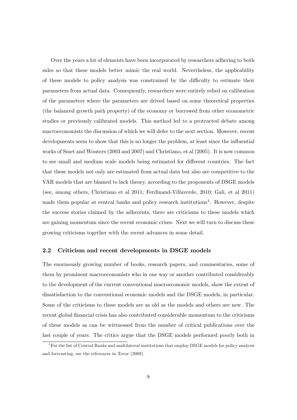Over the years a lot of elements have been incorporated by researchers adhering to both sides so that these models better mimic the real world. Nevertheless, the applicability of these models to policy analysis was constrained by the difficulty to estimate their parameters from actual data. Consequently, researchers were entirely relied on calibration of the parameters where the parameters are drived based on some theoretical properties (the balanced growth path property) of the economy or borrowed from other econometric studies or previously calibrated models. This method led to a protracted debate among macroeconomists the discussion of which we will defer to the next section. However, recent developments seem to show that this is no longer the problem, at least since the influential works of Smet and Wouters (2003 and 2007) and Christiano, et al (2005). It is now common to see small and medium scale models being estimated for different countries. The fact that these models not only are estimated from actual data but also are competitive to the VAR models that are blamed to lack theory, according to the proponents of DSGE models (see, among others, Christiano et al 2011; Ferdinand-Villaverde, 2010; Gali, et al 2011) made them popular at central banks and policy research institutions<sup>4</sup>. However, despite the success stories claimed by the adherents, there are criticisms to these models which are gaining momentum since the recent economic crises. Next we will turn to discuss these growing criticisms together with the recent advances in some detail.

#### 2.2 Criticism and recent developments in DSGE models

The enormously growing number of books, research papers, and commentaries, some of them by prominent macroeconomists who in one way or another contributed considerably to the development of the current conventional macroeconomic models, show the extent of dissatisfaction to the conventional economic models and the DSGE models, in particular. Some of the criticisms to these models are as old as the models and others are new. The recent global financial crisis has also contributed considerable momentum to the criticisms of these models as can be wittnessed from the number of critical publications over the last couple of years. The critics argue that the DSGE models performed poorly both in

<sup>4</sup>For the list of Central Banks and multilateral institutions that employ DSGE models for policy analysis and forecasting, see the references in Tovar (2009).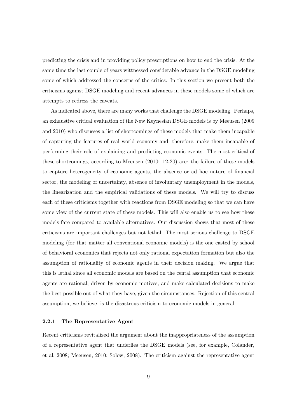predicting the crisis and in providing policy prescriptions on how to end the crisis. At the same time the last couple of years wittnessed considerable advance in the DSGE modeling some of which addressed the concerns of the critics. In this section we present both the criticisms against DSGE modeling and recent advances in these models some of which are attempts to redress the caveats.

As indicated above, there are many works that challenge the DSGE modeling. Perhaps, an exhaustive critical evaluation of the New Keynesian DSGE models is by Meeusen (2009 and 2010) who discusses a list of shortcomings of these models that make them incapable of capturing the features of real world economy and, therefore, make them incapable of performing their role of explaining and predicting economic events. The most critical of these shortcomings, according to Meeusen (2010: 12-20) are: the failure of these models to capture heterogeneity of economic agents, the absence or ad hoc nature of Önancial sector, the modeling of uncertainty, absence of involuntary unemployment in the models, the linearization and the empirical validations of these models. We will try to discuss each of these criticisms together with reactions from DSGE modeling so that we can have some view of the current state of these models. This will also enable us to see how these models fare compared to available alternatives. Our discussion shows that most of these criticisms are important challenges but not lethal. The most serious challenge to DSGE modeling (for that matter all conventional economic models) is the one casted by school of behavioral economics that rejects not only rational expectation formation but also the assumption of rationality of economic agents in their decision making. We argue that this is lethal since all economic models are based on the cental assumption that economic agents are rational, driven by economic motives, and make calculated decisions to make the best possible out of what they have, given the circumstances. Rejection of this central assumption, we believe, is the disastrous criticism to economic models in general.

#### 2.2.1 The Representative Agent

Recent criticisms revitalized the argument about the inappropriateness of the assumption of a representative agent that underlies the DSGE models (see, for example, Colander, et al, 2008; Meeusen, 2010; Solow, 2008). The criticism against the representative agent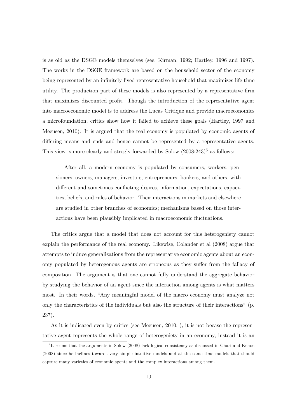is as old as the DSGE models themselves (see, Kirman, 1992; Hartley, 1996 and 1997). The works in the DSGE framework are based on the household sector of the economy being represented by an infinitely lived representative household that maximizes life-time utility. The production part of these models is also represented by a representative Örm that maximizes discounted profit. Though the introduction of the representative agent into macroeconomic model is to address the Lucas Critique and provide macroeconomics a microfoundation, critics show how it failed to achieve these goals (Hartley, 1997 and Meeusen, 2010). It is argued that the real economy is populated by economic agents of differing means and ends and hence cannot be represented by a representative agents. This view is more clearly and strogly forwarded by Solow  $(2008:243)^5$  as follows:

After all, a modern economy is populated by consumers, workers, pensioners, owners, managers, investors, entrepreneurs, bankers, and others, with different and sometimes conflicting desires, information, expectations, capacities, beliefs, and rules of behavior. Their interactions in markets and elsewhere are studied in other branches of economics; mechanisms based on those interactions have been plausibly implicated in macroeconomic fluctuations.

The critics argue that a model that does not account for this heterogeniety cannot explain the performance of the real economy. Likewise, Colander et al (2008) argue that attempts to induce generalizations from the representative economic agents about an economy populated by heterogenous agents are erroneous as they suffer from the fallacy of composition. The argument is that one cannot fully understand the aggregate behavior by studying the behavior of an agent since the interaction among agents is what matters most. In their words, "Any meaningful model of the macro economy must analyze not only the characteristics of the individuals but also the structure of their interactions" (p. 237).

As it is indicated even by critics (see Meeusen, 2010, ), it is not becase the representative agent represents the whole range of heterogeniety in an economy, instead it is an

<sup>&</sup>lt;sup>5</sup>It seems that the arguments in Solow (2008) lack logical consistency as discussed in Chari and Kehoe (2008) since he inclines towards very simple intuitive models and at the same time models that should capture many varieties of economic agents and the complex interactions among them.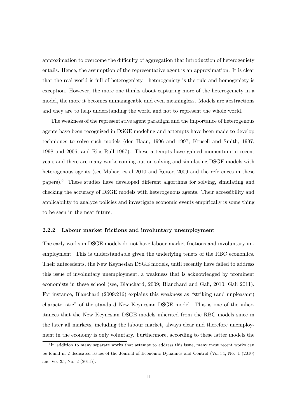approximation to overcome the difficulty of aggregation that introduction of heterogeniety entails. Hence, the assumption of the representative agent is an approximation. It is clear that the real world is full of heterogeniety - heterogeniety is the rule and homogeniety is exception. However, the more one thinks about capturing more of the heterogeniety in a model, the more it becomes unmanageable and even meaningless. Models are abstractions and they are to help understanding the world and not to represent the whole world.

The weakness of the representative agent paradigm and the importance of heterogenous agents have been recognized in DSGE modeling and attempts have been made to develop techniques to solve such models (den Haan, 1996 and 1997; Krusell and Smith, 1997, 1998 and 2006, and Rios-Rull 1997). These attempts have gained momentum in recent years and there are many works coming out on solving and simulating DSGE models with heterogenous agents (see Maliar, et al 2010 and Reiter, 2009 and the references in these papers).<sup>6</sup> These studies have developed different algorthms for solving, simulating and checking the accuracy of DSGE models with heterogenous agents. Their accessibility and applicability to analyze policies and investigate economic events empirically is some thing to be seen in the near future.

#### 2.2.2 Labour market frictions and involuntary unemployment

The early works in DSGE models do not have labour market frictions and involuntary unemployment. This is understandable given the underlying tenets of the RBC economics. Their antecedents, the New Keynesian DSGE models, until recently have failed to address this issue of involuntary unemployment, a weakness that is acknowledged by prominent economists in these school (see, Blanchard, 2009; Blanchard and Gali, 2010; Gali 2011). For instance, Blanchard  $(2009:216)$  explains this weakness as "striking (and unpleasant) characteristicî of the standard New Keynesian DSGE model. This is one of the inheritances that the New Keynesian DSGE models inherited from the RBC models since in the later all markets, including the labour market, always clear and therefore unemployment in the economy is only voluntary. Furthermore, according to these latter models the

<sup>&</sup>lt;sup>6</sup>In addition to many separate works that attempt to address this issue, many most recent works can be found in 2 dedicated issues of the Journal of Economic Dynamics and Control (Vol 34, No. 1 (2010) and Vo. 35, No. 2 (2011)).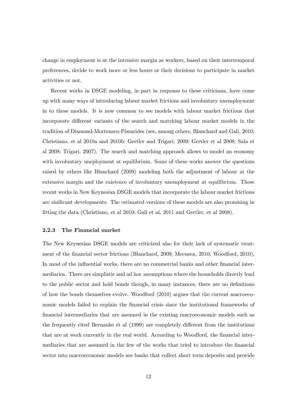change in employment is at the intensive margin as workers, based on their intertemporal preferences, decide to work more or less hours or their decisions to participate in market activities or not.

Recent works in DSGE modeling, in part in response to these criticisms, have come up with many ways of introducing labour market frictions and involuntary unemployment in to these models. It is now common to see models with labour market frictions that incorporate different variants of the search and matching labour market models in the tradition of Diamond-Mortensen-Pissarides (see, among others, Blanchard and Gali, 2010; Christiano, et al 2010a and 2010b; Gertler and Trigari, 2009; Gertler et al 2008; Sala et al 2008; Trigari, 2007). The search and matching approach allows to model an economy with involuntary uneployment at equilibrium. Some of these works answer the questions raised by others like Blanchard (2009) modeling both the adjustment of labour at the extensive margin and the existence of involuntary unemployment at equilibrium. These recent works in New Keynesian DSGE models that incorporate the labour market frictions are sinificant developments. The estimated versions of these models are also promising in Ötting the data (Christiano, et al 2010; Gali et al, 2011 and Gertler, et al 2008).

#### 2.2.3 The Financial market

The New Keynesian DSGE models are criticized also for their lack of systematic treatment of the financial sector frictions (Blanchard, 2009; Meeusen, 2010; Woodford, 2010). In most of the influential works, there are no commercial banks and other financial intermediaries. There are simplistic and ad hoc assumptions where the households directly lend to the public sector and hold bonds though, in many instances, there are no definitions of how the bonds themselves evolve. Woodford (2010) argues that the current macroeconomic models failed to explain the financial crisis since the institutional frameworks of Önancial intermediaries that are assumed in the existing macroeconomic models such as the frequently cited Bernanke et al (1999) are completely different from the institutions that are at work currently in the real world. According to Woodford, the financial intermediaries that are assumed in the few of the works that tried to introduce the financial sector into macroeconomic models are banks that collect short term deposits and provide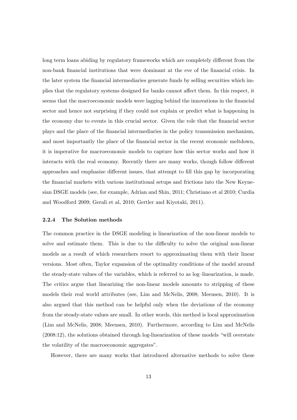long term loans abiding by regulatory frameworks which are completely different from the non-bank financial institutions that were dominant at the eve of the financial crisis. In the later system the Önancial intermediaries generate funds by selling securities which implies that the regulatory systems designed for banks cannot affect them. In this respect, it seems that the macroeconomic models were lagging behind the innovations in the financial sector and hence not surprising if they could not explain or predict what is happening in the economy due to events in this crucial sector. Given the role that the financial sector plays and the place of the Önancial intermediaries in the policy transmission mechanism, and most importantly the place of the financial sector in the recent economic meltdown, it is imperative for macroeconomic models to capture how this sector works and how it interacts with the real economy. Recently there are many works, though follow different approaches and emphasize different issues, that attempt to fill this gap by incorporating the financial markets with various institutional setups and frictions into the New Keynesian DSGE models (see, for example, Adrian and Shin, 2011; Christiano et al 2010; Curdia and Woodford 2009; Gerali et al, 2010; Gertler and Kiyotaki, 2011).

#### 2.2.4 The Solution methods

The common practice in the DSGE modeling is linearization of the non-linear models to solve and estimate them. This is due to the difficulty to solve the original non-linear models as a result of which researchers resort to approximating them with their linear versions. Most often, Taylor expansion of the optimality conditions of the model around the steady-state values of the variables, which is referred to as log-linearization, is made. The critics argue that linearizing the non-linear models amounts to stripping of these models their real world attributes (see, Lim and McNelis, 2008; Meeusen, 2010). It is also argued that this method can be helpful only when the deviations of the economy from the steady-state values are small. In other words, this method is local approximation (Lim and McNelis, 2008; Meeusen, 2010). Furthermore, according to Lim and McNelis  $(2008:12)$ , the solutions obtained through log-linearization of these models "will overstate the volatility of the macroeconomic aggregates".

However, there are many works that introduced alternative methods to solve these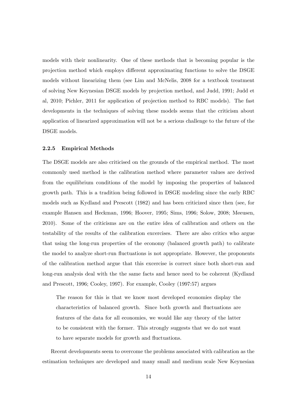models with their nonlinearity. One of these methods that is becoming popular is the projection method which employs different approximating functions to solve the DSGE models without linearizing them (see Lim and McNelis, 2008 for a textbook treatment of solving New Keynesian DSGE models by projection method, and Judd, 1991; Judd et al, 2010; Pichler, 2011 for application of projection method to RBC models). The fast developments in the techniques of solving these models seems that the criticism about application of linearized approximation will not be a serious challenge to the future of the DSGE models.

#### 2.2.5 Empirical Methods

The DSGE models are also criticised on the grounds of the empirical method. The most commonly used method is the calibration method where parameter values are derived from the equilibrium conditions of the model by imposing the properties of balanced growth path. This is a tradition being followed in DSGE modeling since the early RBC models such as Kydland and Prescott (1982) and has been criticized since then (see, for example Hansen and Heckman, 1996; Hoover, 1995; Sims, 1996; Solow, 2008; Meeusen, 2010). Some of the criticisms are on the entire idea of calibration and others on the testability of the results of the calibration excercises. There are also critics who argue that using the long-run properties of the economy (balanced growth path) to calibrate the model to analyze short-run fluctuations is not appropriate. However, the proponents of the calibration method argue that this excercise is correct since both short-run and long-run analysis deal with the the same facts and hence need to be coherent (Kydland and Prescott, 1996; Cooley, 1997). For example, Cooley (1997:57) argues

The reason for this is that we know most developed economies display the characteristics of balanced growth. Since both growth and fluctuations are features of the data for all economies, we would like any theory of the latter to be consistent with the former. This strongly suggests that we do not want to have separate models for growth and fluctuations.

Recent developments seem to overcome the problems associated with calibration as the estimation techniques are developed and many small and medium scale New Keynesian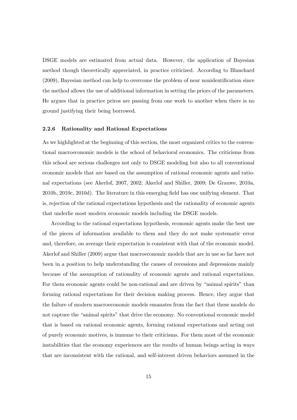DSGE models are estimated from actual data. However, the application of Bayesian method though theoretically appreciated, in practice criticized. According to Blanchard  $(2009)$ , Bayesian method can help to overcome the problem of near nonidentification since the method allows the use of additional information in setting the priors of the parameters. He argues that in practice priros are passing from one work to another when there is no ground justifying their being borrowed.

#### 2.2.6 Rationality and Rational Expectations

As we highlighted at the beginning of this section, the most organized critics to the conventional macroeconomic models is the school of behavioral economics. The criticisms from this school are serious challenges not only to DSGE modeling but also to all conventional economic models that are based on the assumption of rational economic agents and rational expectations (see Akerlof, 2007, 2002; Akerlof and Shiller, 2009; De Grauwe, 2010a, 2010b, 2010c, 2010d). The literature in this emerging Öeld has one unifying element. That is, rejection of the rational expectations hypothesis and the rationality of economic agents that underlie most modern economic models including the DSGE models.

According to the rational expectations hypothesis, economic agents make the best use of the pieces of information available to them and they do not make systematic error and, therefore, on average their expectation is consistent with that of the economic model. Akerlof and Shiller (2009) argue that macroeconomic models that are in use so far have not been in a position to help understanding the causes of recessions and depressions mainly because of the assumption of rationality of economic agents and rational expectations. For them economic agents could be non-rational and are driven by "animal spirits" than forming rational expectations for their decision making process. Hence, they argue that the failure of modern macroeconomic models emanates from the fact that these models do not capture the "animal spirits" that drive the economy. No conventional economic model that is based on rational economic agents, forming rational expectations and acting out of purely economic motives, is immune to their criticisms. For them most of the economic instabilities that the economy experiences are the results of human beings acting in ways that are inconsistent with the rational, and self-interest driven behaviors assumed in the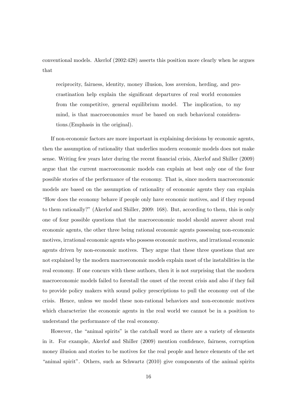conventional models. Akerlof (2002:428) asserts this position more clearly when he argues that

reciprocity, fairness, identity, money illusion, loss aversion, herding, and procrastination help explain the signiÖcant departures of real world economies from the competitive, general equilibrium model. The implication, to my mind, is that macroeconomics must be based on such behavioral considerations.(Emphasis in the original).

If non-economic factors are more important in explaining decisions by economic agents, then the assumption of rationality that underlies modern economic models does not make sense. Writing few years later during the recent financial crisis, Akerlof and Shiller (2009) argue that the current macroeconomic models can explain at best only one of the four possible stories of the performance of the economy. That is, since modern macroeconomic models are based on the assumption of rationality of economic agents they can explain ìHow does the economy behave if people only have economic motives, and if they repond to them rationally?î (Akerlof and Shiller, 2009: 168). But, according to them, this is only one of four possible questions that the macroeconomic model should answer about real economic agents, the other three being rational economic agents possessing non-economic motives, irrational economic agents who possess economic motives, and irrational economic agents driven by non-economic motives. They argue that these three questions that are not explained by the modern macroeconomic models explain most of the instabilities in the real economy. If one concurs with these authors, then it is not surprising that the modern macroeconomic models failed to forestall the onset of the recent crisis and also if they fail to provide policy makers with sound policy prescriptions to pull the economy out of the crisis. Hence, unless we model these non-rational behaviors and non-economic motives which characterize the economic agents in the real world we cannot be in a position to understand the performance of the real economy.

However, the "animal spirits" is the catchall word as there are a variety of elements in it. For example, Akerlof and Shiller (2009) mention confidence, fairness, corruption money illusion and stories to be motives for the real people and hence elements of the set "animal spirit". Others, such as Schwartz  $(2010)$  give components of the animal spirits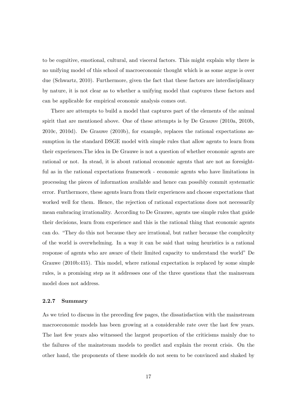to be cognitive, emotional, cultural, and visceral factors. This might explain why there is no unifying model of this school of macroeconomic thought which is as some argue is over due (Schwartz, 2010). Furthermore, given the fact that these factors are interdisciplinary by nature, it is not clear as to whether a unifying model that captures these factors and can be applicable for empirical economic analysis comes out.

There are attempts to build a model that captures part of the elements of the animal spirit that are mentioned above. One of these attempts is by De Grauwe (2010a, 2010b, 2010c, 2010d). De Grauwe (2010b), for example, replaces the rational expectations assumption in the standard DSGE model with simple rules that allow agents to learn from their experiences.The idea in De Grauwe is not a question of whether economic agents are rational or not. In stead, it is about rational economic agents that are not as foresightful as in the rational expectations framework - economic agents who have limitations in processing the pieces of information available and hence can possibly commit systematic error. Furthermore, these agents learn from their experiences and choose expectations that worked well for them. Hence, the rejection of rational expectations does not necessarily mean embracing irrationality. According to De Grauwe, agents use simple rules that guide their decisions, learn from experience and this is the rational thing that economic agents can do. "They do this not because they are irrational, but rather because the complexity of the world is overwhelming. In a way it can be said that using heuristics is a rational response of agents who are aware of their limited capacity to understand the worldî De Grauwe (2010b:415). This model, where rational expectation is replaced by some simple rules, is a promising step as it addresses one of the three questions that the mainsream model does not address.

#### 2.2.7 Summary

As we tried to discuss in the preceding few pages, the dissatisfaction with the mainstream macroeconomic models has been growing at a considerable rate over the last few years. The last few years also witnessed the largest proportion of the criticisms mainly due to the failures of the mainstream models to predict and explain the recent crisis. On the other hand, the proponents of these models do not seem to be convinced and shaked by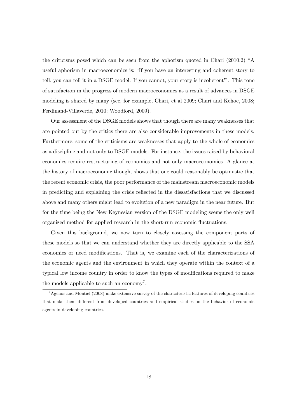the criticisms posed which can be seen from the aphorism quoted in Chari  $(2010:2)$  "A useful aphorism in macroeconomics is: 'If you have an interesting and coherent story to tell, you can tell it in a DSGE model. If you cannot, your story is incoherent". This tone of satisfaction in the progress of modern macroeconomics as a result of advances in DSGE modeling is shared by many (see, for example, Chari, et al 2009; Chari and Kehoe, 2008; Ferdinand-Villaverde, 2010; Woodford, 2009).

Our assessment of the DSGE models shows that though there are many weaknesses that are pointed out by the critics there are also considerable improvements in these models. Furthermore, some of the criticisms are weaknesses that apply to the whole of economics as a discipline and not only to DSGE models. For instance, the issues raised by behavioral economics require restructuring of economics and not only macroeconomics. A glance at the history of macroeconomic thought shows that one could reasonably be optimistic that the recent economic crisis, the poor performance of the mainstream macroeconomic models in predicting and explaining the crisis reflected in the dissatisfactions that we discussed above and many others might lead to evolution of a new paradigm in the near future. But for the time being the New Keynesian version of the DSGE modeling seems the only well organized method for applied research in the short-run economic fluctuations.

Given this background, we now turn to closely assessing the component parts of these models so that we can understand whether they are directly applicable to the SSA economies or need modifications. That is, we examine each of the characterizations of the economic agents and the environment in which they operate within the context of a typical low income country in order to know the types of modifications required to make the models applicable to such an economy<sup>7</sup>.

<sup>7</sup>Agenor and Montiel (2008) make extensive survey of the characteristic features of developing countries that make them different from developed countries and empirical studies on the behavior of economic agents in developing countries.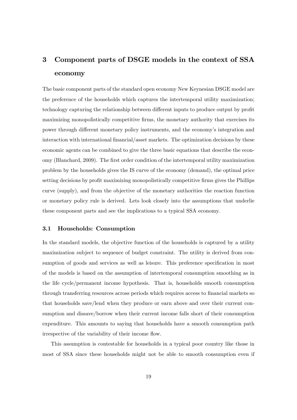## 3 Component parts of DSGE models in the context of SSA economy

The basic component parts of the standard open economy New Keynesian DSGE model are the preference of the households which captures the intertemporal utility maximization; technology capturing the relationship between different inputs to produce output by profit maximizing monopolistically competitive firms, the monetary authority that exercises its power through different monetary policy instruments, and the economy's integration and interaction with international financial/asset markets. The optimization decisions by these economic agents can be combined to give the three basic equations that describe the economy (Blanchard, 2009). The Örst order condition of the intertemporal utility maximization problem by the households gives the IS curve of the economy (demand), the optimal price setting decisions by profit maximizing monopolistically competitive firms gives the Phillips curve (supply), and from the objective of the monetary authorities the reaction function or monetary policy rule is derived. Lets look closely into the assumptions that underlie these component parts and see the implications to a typical SSA economy.

#### 3.1 Households: Consumption

In the standard models, the objective function of the households is captured by a utility maximization subject to sequence of budget constraint. The utility is derived from consumption of goods and services as well as leisure. This preference specification in most of the models is based on the assumption of intertemporal consumption smoothing as in the life cycle/permanent income hypothesis. That is, households smooth consumption through transferring resources across periods which requires access to financial markets so that households save/lend when they produce or earn above and over their current consumption and dissave/borrow when their current income falls short of their consumption expenditure. This amounts to saying that households have a smooth consumption path irrespective of the variability of their income flow.

This assumption is contestable for households in a typical poor country like those in most of SSA since these households might not be able to smooth consumption even if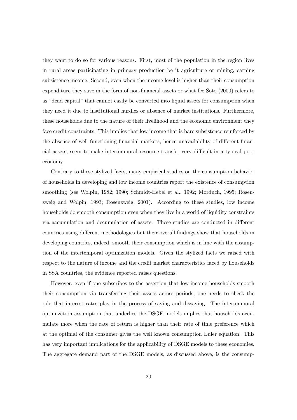they want to do so for various reasons. First, most of the population in the region lives in rural areas participating in primary production be it agriculture or mining, earning subsistence income. Second, even when the income level is higher than their consumption expenditure they save in the form of non-financial assets or what De Soto (2000) refers to as "dead capital" that cannot easily be converted into liquid assets for consumption when they need it due to institutional hurdles or absence of market institutions. Furthermore, these households due to the nature of their livelihood and the economic environment they face credit constraints. This implies that low income that is bare subsistence reinforced by the absence of well functioning financial markets, hence unavailability of different financial assets, seem to make intertemporal resource transfer very difficult in a typical poor economy.

Contrary to these stylized facts, many empirical studies on the consumption behavior of households in developing and low income countries report the existence of consumption smoothing (see Wolpin, 1982; 1990; Schmidt-Hebel et al., 1992; Morduch, 1995; Rosenzweig and Wolpin, 1993; Rosenzweig, 2001). According to these studies, low income households do smooth consumption even when they live in a world of liquidity constraints via accumulation and decumulation of assets. These studies are conducted in different countries using different methodologies but their overall findings show that households in developing countries, indeed, smooth their consumption which is in line with the assumption of the intertemporal optimization models. Given the stylized facts we raised with respect to the nature of income and the credit market characteristics faced by households in SSA countries, the evidence reported raises questions.

However, even if one subscribes to the assertion that low-income households smooth their consumption via transferring their assets across periods, one needs to check the role that interest rates play in the process of saving and dissaving. The intertemporal optimization assumption that underlies the DSGE models implies that households accumulate more when the rate of return is higher than their rate of time preference which at the optimal of the consumer gives the well known consumption Euler equation. This has very important implications for the applicability of DSGE models to these economies. The aggregate demand part of the DSGE models, as discussed above, is the consump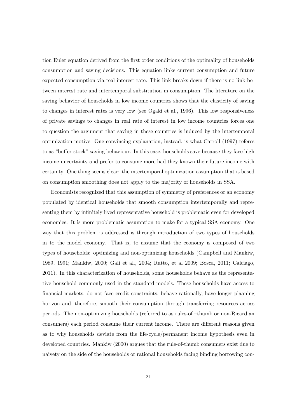tion Euler equation derived from the first order conditions of the optimality of households consumption and saving decisions. This equation links current consumption and future expected consumption via real interest rate. This link breaks down if there is no link between interest rate and intertemporal substitution in consumption. The literature on the saving behavior of households in low income countries shows that the elasticity of saving to changes in interest rates is very low (see Ogaki et al., 1996). This low responsiveness of private savings to changes in real rate of interest in low income countries forces one to question the argument that saving in these countries is induced by the intertemporal optimization motive. One convincing explanation, instead, is what Carroll (1997) referes to as "buffer-stock" saving behaviour. In this case, households save because they face high income uncertainty and prefer to consume more had they known their future income with certainty. One thing seems clear: the intertemporal optimization assumption that is based on consumption smoothing does not apply to the majority of households in SSA.

Economists recognized that this assumption of symmetry of preferences or an economy populated by identical households that smooth consumption intertemporally and representing them by infinitely lived representative household is problematic even for developed economies. It is more problematic assumption to make for a typical SSA economy. One way that this problem is addressed is through introduction of two types of households in to the model economy. That is, to assume that the economy is composed of two types of households: optimizing and non-optimizing households (Campbell and Mankiw, 1989, 1991; Mankiw, 2000; Gali et al., 2004; Ratto, et al 2009; Bosca, 2011; Calciago, 2011). In this characterization of households, some households behave as the representative household commonly used in the standard models. These households have access to Önancial markets, do not face credit constraints, behave rationally, have longer plaaning horizon and, therefore, smooth their consumption through transferring resources across periods. The non-optimizing households (referred to as rules-of  $-thumb$  or non-Ricardian consumers) each period consume their current income. There are different reasons given as to why households deviate from the life-cycle/permanent income hypothesis even in developed countries. Mankiw (2000) argues that the rule-of-thumb consumers exist due to naivety on the side of the households or rational households facing binding borrowing con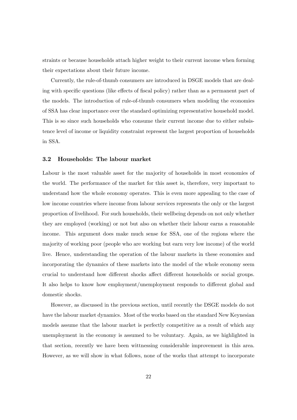straints or because households attach higher weight to their current income when forming their expectations about their future income.

Currently, the rule-of-thumb consumers are introduced in DSGE models that are dealing with specific questions (like effects of fiscal policy) rather than as a permanent part of the models. The introduction of rule-of-thumb consumers when modeling the economies of SSA has clear importance over the standard optimizing representative household model. This is so since such households who consume their current income due to either subsistence level of income or liquidity constraint represent the largest proportion of households in SSA.

#### 3.2 Households: The labour market

Labour is the most valuable asset for the majority of households in most economies of the world. The performance of the market for this asset is, therefore, very important to understand how the whole economy operates. This is even more appealing to the case of low income countries where income from labour services represents the only or the largest proportion of livelihood. For such households, their wellbeing depends on not only whether they are employed (working) or not but also on whether their labour earns a reasonable income. This argument does make much sense for SSA, one of the regions where the majority of working poor (people who are working but earn very low income) of the world live. Hence, understanding the operation of the labour markets in these economies and incorporating the dynamics of these markets into the model of the whole economy seem crucial to understand how different shocks affect different households or social groups. It also helps to know how employment/unemployment responds to different global and domestic shocks.

However, as discussed in the previous section, until recently the DSGE models do not have the labour market dynamics. Most of the works based on the standard New Keynesian models assume that the labour market is perfectly competitive as a result of which any unemployment in the economy is assumed to be voluntary. Again, as we highlighted in that section, recently we have been wittnessing considerable improvement in this area. However, as we will show in what follows, none of the works that attempt to incorporate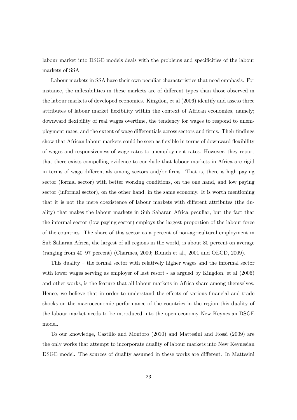labour market into DSGE models deals with the problems and specificities of the labour markets of SSA.

Labour markets in SSA have their own peculiar characteristics that need emphasis. For instance, the inflexibilities in these markets are of different types than those observed in the labour markets of developed economies. Kingdon, et al (2006) identify and assess three attributes of labour market flexibility within the context of African economies, namely; downward flexibility of real wages overtime, the tendency for wages to respond to unemployment rates, and the extent of wage differentials across sectors and firms. Their findings show that African labour markets could be seen as flexible in terms of downward flexibility of wages and responsiveness of wage rates to unemployment rates. However, they report that there exists compelling evidence to conclude that labour markets in Africa are rigid in terms of wage differentials among sectors and/or firms. That is, there is high paying sector (formal sector) with better working conditions, on the one hand, and low paying sector (informal sector), on the other hand, in the same economy. It is worth mentioning that it is not the mere coexistence of labour markets with different attributes (the duality) that makes the labour markets in Sub Saharan Africa peculiar, but the fact that the informal sector (low paying sector) employs the largest proportion of the labour force of the countries. The share of this sector as a percent of non-agricultural employment in Sub Saharan Africa, the largest of all regions in the world, is about 80 percent on average (ranging from  $40-97$  percent) (Charmes, 2000; Blunch et al., 2001 and OECD, 2009).

This duality  $-$  the formal sector with relatively higher wages and the informal sector with lower wages serving as employer of last resort - as argued by Kingdon, et al (2006) and other works, is the feature that all labour markets in Africa share among themselves. Hence, we believe that in order to understand the effects of various financial and trade shocks on the macroeconomic performance of the countries in the region this duality of the labour market needs to be introduced into the open economy New Keynesian DSGE model.

To our knowledge, Castillo and Montoro (2010) and Mattesini and Rossi (2009) are the only works that attempt to incorporate duality of labour markets into New Keynesian DSGE model. The sources of duality assumed in these works are different. In Mattesini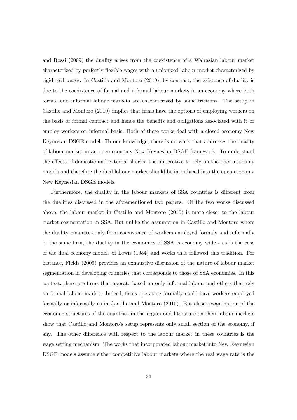and Rossi (2009) the duality arises from the coexistence of a Walrasian labour market characterized by perfectly flexible wages with a unionized labour market characterized by rigid real wages. In Castillo and Montoro (2010), by contrast, the existence of duality is due to the coexistence of formal and informal labour markets in an economy where both formal and informal labour markets are characterized by some frictions. The setup in Castillo and Montoro (2010) implies that firms have the options of employing workers on the basis of formal contract and hence the benefits and obligations associated with it or employ workers on informal basis. Both of these works deal with a closed economy New Keynesian DSGE model. To our knowledge, there is no work that addresses the duality of labour market in an open economy New Keynesian DSGE framework. To understand the effects of domestic and external shocks it is imperative to rely on the open economy models and therefore the dual labour market should be introduced into the open economy New Keynesian DSGE models.

Furthermore, the duality in the labour markets of SSA countries is different from the dualities discussed in the aforementioned two papers. Of the two works discussed above, the labour market in Castillo and Montoro (2010) is more closer to the labour market segmentation in SSA. But unlike the assumption in Castillo and Montoro where the duality emanates only from coexistence of workers employed formaly and informally in the same firm, the duality in the economies of SSA is economy wide - as is the case of the dual economy models of Lewis (1954) and works that followed this tradition. For instance, Fields (2009) provides an exhaustive discussion of the nature of labour market segmentation in developing countries that corresponds to those of SSA economies. In this context, there are Örms that operate based on only informal labour and others that rely on formal labour market. Indeed, firms operating formally could have workers employed formally or informally as in Castillo and Montoro (2010). But closer examination of the economic structures of the countries in the region and literature on their labour markets show that Castillo and Montoro's setup represents only small section of the economy, if any. The other difference with respect to the labour market in these countries is the wage setting mechanism. The works that incorporated labour market into New Keynesian DSGE models assume either competitive labour markets where the real wage rate is the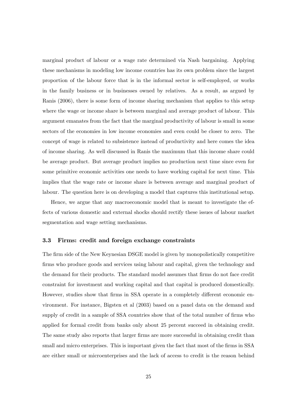marginal product of labour or a wage rate determined via Nash bargaining. Applying these mechanisms in modeling low income countries has its own problem since the largest proportion of the labour force that is in the informal sector is self-employed, or works in the family business or in businesses owned by relatives. As a result, as argued by Ranis (2006), there is some form of income sharing mechanism that applies to this setup where the wage or income share is between marginal and average product of labour. This argument emanates from the fact that the marginal productivity of labour is small in some sectors of the economies in low income economies and even could be closer to zero. The concept of wage is related to subsistence instead of productivity and here comes the idea of income sharing. As well discussed in Ranis the maximum that this income share could be average product. But average product implies no production next time since even for some primitive economic activities one needs to have working capital for next time. This implies that the wage rate or income share is between average and marginal product of labour. The question here is on developing a model that captures this institutional setup.

Hence, we argue that any macroeconomic model that is meant to investigate the effects of various domestic and external shocks should rectify these issues of labour market segmentation and wage setting mechanisms.

#### 3.3 Firms: credit and foreign exchange constraints

The firm side of the New Keynesian DSGE model is given by monopolistically competitive firms who produce goods and services using labour and capital, given the technology and the demand for their products. The standard model assumes that firms do not face credit constraint for investment and working capital and that capital is produced domestically. However, studies show that firms in SSA operate in a completely different economic environment. For instance, Bigsten et al (2003) based on a panel data on the demand and supply of credit in a sample of SSA countries show that of the total number of firms who applied for formal credit from banks only about 25 percent succeed in obtaining credit. The same study also reports that larger firms are more successful in obtaining credit than small and micro enterprises. This is important given the fact that most of the firms in SSA are either small or microenterprises and the lack of access to credit is the reason behind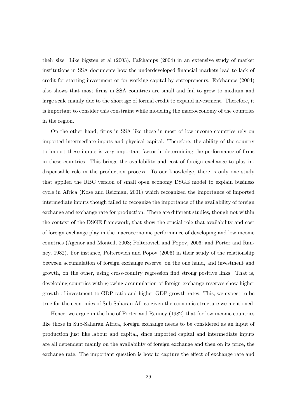their size. Like bigsten et al (2003), Fafchamps (2004) in an extensive study of market institutions in SSA documents how the underdeveloped financial markets lead to lack of credit for starting investment or for working capital by entrepreneurs. Fafchamps (2004) also shows that most Örms in SSA countries are small and fail to grow to medium and large scale mainly due to the shortage of formal credit to expand investment. Therefore, it is important to consider this constraint while modeling the macroeconomy of the countries in the region.

On the other hand, Örms in SSA like those in most of low income countries rely on imported intermediate inputs and physical capital. Therefore, the ability of the country to import these inputs is very important factor in determining the performance of firms in these countries. This brings the availability and cost of foreign exchange to play indispensable role in the production process. To our knowledge, there is only one study that applied the RBC version of small open economy DSGE model to explain business cycle in Africa (Kose and Reizman, 2001) which recognized the importance of imported intermediate inputs though failed to recognize the importance of the availability of foreign exchange and exchange rate for production. There are different studies, though not within the context of the DSGE framework, that show the crucial role that availability and cost of foreign exchange play in the macroeconomic performance of developing and low income countries (Agenor and Monteil, 2008; Polterovich and Popov, 2006; and Porter and Ranney, 1982). For instance, Polterovich and Popov (2006) in their study of the relationship between accumulation of foreign exchange reserve, on the one hand, and investment and growth, on the other, using cross-country regression find strong positive links. That is, developing countries with growing accumulation of foreign exchange reserves show higher growth of investment to GDP ratio and higher GDP growth rates. This, we expect to be true for the economies of Sub-Saharan Africa given the economic structure we mentioned.

Hence, we argue in the line of Porter and Ranney (1982) that for low income countries like those in Sub-Saharan Africa, foreign exchange needs to be considered as an input of production just like labour and capital, since imported capital and intermediate inputs are all dependent mainly on the availability of foreign exchange and then on its price, the exchange rate. The important question is how to capture the effect of exchange rate and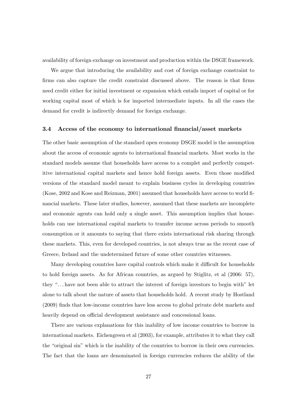availability of foreign exchange on investment and production within the DSGE framework.

We argue that introducing the availability and cost of foreign exchange constraint to firms can also capture the credit constraint discussed above. The reason is that firms need credit either for initial investment or expansion which entails import of capital or for working capital most of which is for imported intermediate inputs. In all the cases the demand for credit is indirectly demand for foreign exchange.

#### 3.4 Access of the economy to international financial/asset markets

The other basic assumption of the standard open economy DSGE model is the assumption about the access of economic agents to international Önancial markets. Most works in the standard models assume that households have access to a complet and perfectly competitive international capital markets and hence hold foreign assets. Even those modified versions of the standard model meant to explain business cycles in developing countries (Kose, 2002 and Kose and Reizman, 2001) assumed that households have access to world financial markets. These later studies, however, assumed that these markets are incomplete and economic agents can hold only a single asset. This assumption implies that households can use international capital markets to transfer income across periods to smooth consumption or it amounts to saying that there exists international risk sharing through these markets. This, even for developed countries, is not always true as the recent case of Greece, Ireland and the undetermined future of some other countries witnesses.

Many developing countries have capital controls which make it difficult for households to hold foreign assets. As for African countries, as argued by Stiglitz, et al (2006: 57), they " $\dots$  have not been able to attract the interest of foreign investors to begin with" let alone to talk about the nature of assets that households hold. A recent study by Hostland (2009) Önds that low-income countries have less access to global private debt markets and heavily depend on official development assistance and concessional loans.

There are various explanations for this inability of low income countries to borrow in international markets. Eichengreen et al (2003), for example, attributes it to what they call the "original sin" which is the inability of the countries to borrow in their own currencies. The fact that the loans are denominated in foreign currencies reduces the ability of the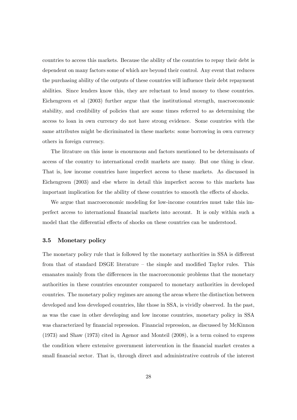countries to access this markets. Because the ability of the countries to repay their debt is dependent on many factors some of which are beyond their control. Any event that reduces the purchasing ability of the outputs of these countries will influence their debt repayment abilities. Since lenders know this, they are reluctant to lend money to these countries. Eichengreen et al (2003) further argue that the institutional strength, macroeconomic stability, and credibility of policies that are some times referred to as determining the access to loan in own currency do not have strong evidence. Some countries with the same attributes might be dicriminated in these markets: some borrowing in own currency others in foreign currency.

The litrature on this issue is enourmous and factors mentioned to be determinants of access of the country to international credit markets are many. But one thing is clear. That is, low income countries have imperfect access to these markets. As discussed in Eichengreen (2003) and else where in detail this imperfect access to this markets has important implication for the ability of these countries to smooth the effects of shocks.

We argue that macroeconomic modeling for low-income countries must take this imperfect access to international Önancial markets into account. It is only within such a model that the differential effects of shocks on these countries can be understood.

#### 3.5 Monetary policy

The monetary policy rule that is followed by the monetary authorities in SSA is different from that of standard DSGE literature  $-$  the simple and modified Taylor rules. This emanates mainly from the differences in the macroeconomic problems that the monetary authorities in these countries encounter compared to monetary authorities in developed countries. The monetary policy regimes are among the areas where the distinction between developed and less developed countries, like those in SSA, is vividly observed. In the past, as was the case in other developing and low income countries, monetary policy in SSA was characterized by financial repression. Financial repression, as discussed by McKinnon (1973) and Shaw (1973) cited in Agenor and Monteil (2008), is a term coined to express the condition where extensive government intervention in the financial market creates a small financial sector. That is, through direct and administrative controls of the interest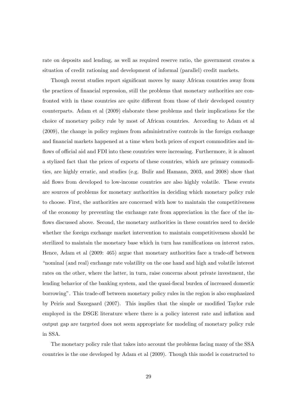rate on deposits and lending, as well as required reserve ratio, the government creates a situation of credit rationing and development of informal (parallel) credit markets.

Though recent studies report significant moves by many African countries away from the practices of financial repression, still the problems that monetary authorities are confronted with in these countries are quite different from those of their developed country counterparts. Adam et al (2009) elaborate these problems and their implications for the choice of monetary policy rule by most of African countries. According to Adam et al (2009), the change in policy regimes from administrative controls in the foreign exchange and financial markets happened at a time when both prices of export commodities and inflows of official aid and FDI into these countries were increasing. Furthermore, it is almost a stylized fact that the prices of exports of these countries, which are primary commodities, are highly erratic, and studies (e.g. Bulir and Hamann, 2003, and 2008) show that aid flows from developed to low-income countries are also highly volatile. These events are sources of problems for monetary authorities in deciding which monetary policy rule to choose. First, the authorities are concerned with how to maintain the competitiveness of the economy by preventing the exchange rate from appreciation in the face of the inflows discussed above. Second, the monetary authorities in these countries need to decide whether the foreign exchange market intervention to maintain competitiveness should be sterilized to maintain the monetary base which in turn has ramifications on interest rates. Hence, Adam et al  $(2009: 465)$  argue that monetary authorities face a trade-off between ìnominal (and real) exchange rate volatility on the one hand and high and volatile interest rates on the other, where the latter, in turn, raise concerns about private investment, the lending behavior of the banking system, and the quasi-fiscal burden of increased domestic borrowing". This trade-off between monetary policy rules in the region is also emphasized by Peiris and Saxegaard (2007). This implies that the simple or modified Taylor rule employed in the DSGE literature where there is a policy interest rate and inflation and output gap are targeted does not seem appropriate for modeling of monetary policy rule in SSA.

The monetary policy rule that takes into account the problems facing many of the SSA countries is the one developed by Adam et al (2009). Though this model is constructed to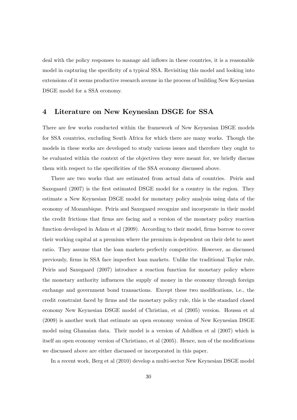deal with the policy responses to manage aid inflows in these countries, it is a reasonable model in capturing the specificity of a typical SSA. Revisiting this model and looking into extensions of it seems productive research avenue in the process of building New Keynesian DSGE model for a SSA economy.

## 4 Literature on New Keynesian DSGE for SSA

There are few works conducted within the framework of New Keynesian DSGE models for SSA countries, excluding South Africa for which there are many works. Though the models in these works are developed to study various issues and therefore they ought to be evaluated within the context of the objectives they were meant for, we briefly discuss them with respect to the specificities of the SSA economy discussed above.

There are two works that are estimated from actual data of countries. Peiris and Saxegaard (2007) is the first estimated DSGE model for a country in the region. They estimate a New Keynesian DSGE model for monetary policy analysis using data of the economy of Mozambique. Peiris and Saxegaard recognize and incorporate in their model the credit frictions that Örms are facing and a version of the monetary policy reaction function developed in Adam et al (2009). According to their model, firms borrow to cover their working capital at a premium where the premium is dependent on their debt to asset ratio. They assume that the loan markets perfectly competitive. However, as discussed previously, Örms in SSA face imperfect loan markets. Unlike the traditional Taylor rule, Peiris and Saxegaard (2007) introduce a reaction function for monetary policy where the monetary authority influences the supply of money in the economy through foreign exchange and government bond transactions. Except these two modifications, i.e., the credit constraint faced by Örms and the monetary policy rule, this is the standard closed economy New Keynesian DSGE model of Christian, et al (2005) version. Houssa et al (2009) is another work that estimate an open economy version of New Keynesian DSGE model using Ghanaian data. Their model is a version of Adolfson et al (2007) which is itself an open economy version of Christiano, et al  $(2005)$ . Hence, non of the modifications we discussed above are either discussed or incorporated in this paper.

In a recent work, Berg et al (2010) develop a multi-sector New Keynesian DSGE model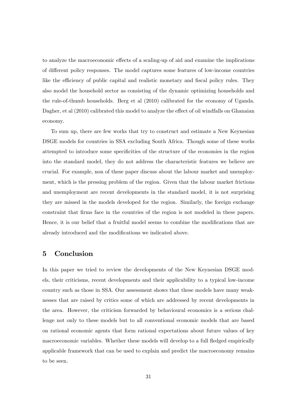to analyze the macroeconomic effects of a scaling-up of aid and examine the implications of different policy responses. The model captures some features of low-income countries like the efficiency of public capital and realistic monetary and fiscal policy rules. They also model the household sector as consisting of the dynamic optimizing households and the rule-of-thumb households. Berg et al (2010) calibrated for the economy of Uganda. Dagher, et al  $(2010)$  calibrated this model to analyze the effect of oil windfalls on Ghanaian economy.

To sum up, there are few works that try to construct and estimate a New Keynesian DSGE models for countries in SSA excluding South Africa. Though some of these works attempted to introduce some specificities of the structure of the economies in the region into the standard model, they do not address the characteristic features we believe are crucial. For example, non of these paper discuss about the labour market and unemployment, which is the pressing problem of the region. Given that the labour market frictions and unemployment are recent developments in the standard model, it is not surprising they are missed in the models developed for the region. Similarly, the foreign exchange constraint that Örms face in the countries of the region is not modeled in these papers. Hence, it is our belief that a fruitful model seems to combine the modifications that are already introduced and the modifications we indicated above.

## 5 Conclusion

In this paper we tried to review the developments of the New Keynesian DSGE models, their criticisms, recent developments and their applicability to a typical low-income country such as those in SSA. Our assessment shows that these models have many weaknesses that are raised by critics some of which are addressed by recent developments in the area. However, the criticism forwarded by behavioural economics is a serious challenge not only to these models but to all conventional economic models that are based on rational economic agents that form rational expectations about future values of key macroeconomic variables. Whether these models will develop to a full fledged empirically applicable framework that can be used to explain and predict the macroeconomy remains to be seen.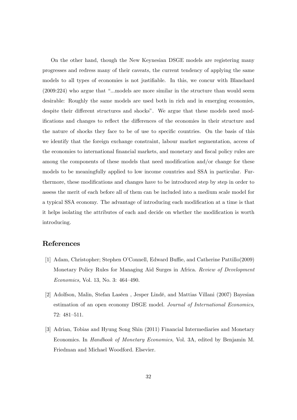On the other hand, though the New Keynesian DSGE models are registering many progresses and redress many of their caveats, the current tendency of applying the same models to all types of economies is not justifiable. In this, we concur with Blanchard  $(2009:224)$  who argue that "...models are more similar in the structure than would seem desirable: Roughly the same models are used both in rich and in emerging economies, despite their different structures and shocks". We argue that these models need modifications and changes to reflect the differences of the economies in their structure and the nature of shocks they face to be of use to specific countries. On the basis of this we identify that the foreign exchange constraint, labour market segmentation, access of the economies to international financial markets, and monetary and fiscal policy rules are among the components of these models that need modification and/or change for these models to be meaningfully applied to low income countries and SSA in particular. Furthermore, these modifications and changes have to be introduced step by step in order to assess the merit of each before all of them can be included into a medium scale model for a typical SSA economy. The advantage of introducing each modification at a time is that it helps isolating the attributes of each and decide on whether the modification is worth introducing.

### References

- [1] Adam, Christopher; Stephen O'Connell, Edward Buffie, and Catherine Pattillo(2009) Monetary Policy Rules for Managing Aid Surges in Africa. Review of Development Economics, Vol. 13, No. 3:  $464-490$ .
- [2] Adolfson, Malin, Stefan Laséen, Jesper Lindé, and Mattias Villani (2007) Bayesian estimation of an open economy DSGE model. Journal of International Economics, 72: 481-511.
- [3] Adrian, Tobias and Hyung Song Shin (2011) Financial Intermediaries and Monetary Economics. In Handbook of Monetary Economics, Vol. 3A, edited by Benjamin M. Friedman and Michael Woodford. Elsevier.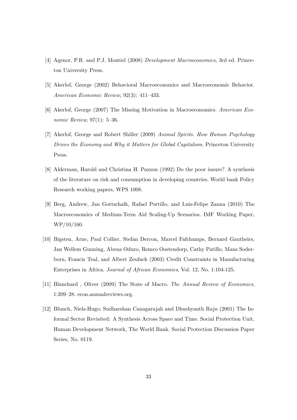- [4] Agenor, P.R. and P.J. Montiel (2008) Development Macroeconomics, 3rd ed. Princeton University Press.
- [5] Akerlof, George (2002) Behavioral Macroeconomics and Macroeconomic Behavior. American Economic Review,  $92(3)$ : 411-433.
- [6] Akerlof, George (2007) The Missing Motivation in Macroeconomics. American Economic Review,  $97(1)$ : 5-36.
- [7] Akerlof, George and Robert Shiller (2009) Animal Spirits. How Human Psychology Drives the Economy and Why it Matters for Global Capitalism. Princeton University Press.
- [8] Alderman, Harold and Christina H. Paxson (1992) Do the poor insure? A synthesis of the literature on risk and consumption in developing countries. World bank Policy Research working papers, WPS 1008.
- [9] Berg, Andrew, Jan Gottschalk, Rafael Portillo, and Luis-Felipe Zanna (2010) The Macroeconomics of Medium-Term Aid Scaling-Up Scenarios. IMF Working Paper, WP/10/160.
- [10] Bigsten, Arne, Paul Collier, Stefan Dercon, Marcel Fafchamps, Bernard Gautheirs, Jan Wellem Gunning, Abena Oduro, Remco Oostendorp, Cathy Patillo, Mans Soderborn, Francis Teal, and Albert Zeufack (2003) Credit Constraints in Manufacturing Enterprises in Africa. Journal of African Economies, Vol. 12, No. 1:104-125.
- [11] Blanchard , Oliver (2009) The State of Macro. The Annual Review of Economics, 1:209–28. econ.annualreviews.org.
- [12] Blunch, Niels-Hugo; Sudharshan Canagarajah and Dhushyanth Raju (2001) The Informal Sector Revisited: A Synthesis Across Space and Time. Social Protection Unit, Human Development Network, The World Bank. Social Protection Discussion Paper Series, No. 0119.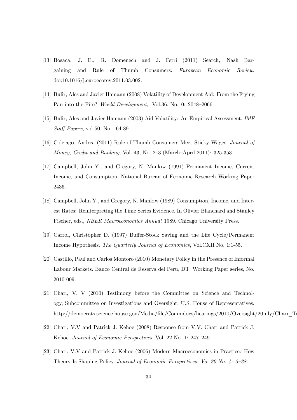- [13] Bosaca, J. E., R. Domenech and J. Ferri (2011) Search, Nash Bargaining and Rule of Thumb Consumers. European Economic Review, doi:10.1016/j.euroecorev.2011.03.002.
- [14] Bulir, Ales and Javier Hamann (2008) Volatility of Development Aid: From the Frying Pan into the Fire? World Development, Vol.36, No.10: 2048-2066.
- [15] Bulir, Ales and Javier Hamann (2003) Aid Volatility: An Empirical Assessment. IMF Staff Papers, vol 50, No.1:64-89.
- [16] Colciago, Andrea (2011) Rule-of-Thumb Consumers Meet Sticky Wages. Journal of Money, Credit and Banking, Vol. 43, No. 2-3 (March-April 2011): 325-353.
- [17] Campbell, John Y., and Gregory, N. Mankiw (1991) Permanent Income, Current Income, and Consumption. National Bureau of Economic Research Working Paper 2436.
- [18] Campbell, John Y., and Gregory, N. Mankiw (1989) Consumption, Income, and Interest Rates: Reinterpreting the Time Series Evidence. In Olivier Blanchard and Stanley Fischer, eds., NBER Macroeconomics Annual 1989. Chicago University Press.
- [19] Carrol, Christopher D. (1997) Buffer-Stock Saving and the Life Cycle/Permanent Income Hypothesis. The Quarterly Journal of Economics, Vol.CXII No. 1:1-55.
- [20] Castillo, Paul and Carlos Montoro (2010) Monetary Policy in the Presence of Informal Labour Markets. Banco Central de Reserva del Peru, DT. Working Paper series, No. 2010-009.
- [21] Chari, V. V (2010) Testimony before the Committee on Science and Technology, Subcommittee on Investigations and Oversight, U.S. House of Representatives. http://democrats.science.house.gov/Media/file/Commdocs/hearings/2010/Oversight/20july/Chari\_Testimon
- [22] Chari, V.V and Patrick J. Kehoe (2008) Response from V.V. Chari and Patrick J. Kehoe. Journal of Economic Perspectives, Vol. 22 No. 1: 247–249.
- [23] Chari, V.V and Patrick J. Kehoe (2006) Modern Macroeconomics in Practice: How Theory Is Shaping Policy. Journal of Economic Perspectives, Vo. 20, No. 4:  $3-28$ .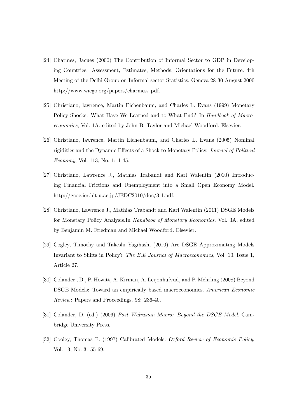- [24] Charmes, Jacues (2000) The Contribution of Informal Sector to GDP in Developing Countries: Assessment, Estimates, Methods, Orientations for the Future. 4th Meeting of the Delhi Group on Informal sector Statistics, Geneva 28-30 August 2000 http://www.wiego.org/papers/charmes7.pdf.
- [25] Christiano, lawrence, Martin Eichenbaum, and Charles L. Evans (1999) Monetary Policy Shocks: What Have We Learned and to What End? In Handbook of Macroeconomics, Vol. 1A, edited by John B. Taylor and Michael Woodford. Elsevier.
- [26] Christiano, lawrence, Martin Eichenbaum, and Charles L. Evans (2005) Nominal rigidities and the Dynamic Effects of a Shock to Monetary Policy. Journal of Political Economy, Vol. 113, No. 1: 1-45.
- [27] Christiano, Lawrence J., Mathias Trabandt and Karl Walentin (2010) Introducing Financial Frictions and Unemployment into a Small Open Economy Model. http://gcoe.ier.hit-u.ac.jp/JEDC2010/doc/3-1.pdf.
- [28] Christiano, Lawrence J., Mathias Trabandt and Karl Walentin (2011) DSGE Models for Monetary Policy Analysis.In Handbook of Monetary Economics, Vol. 3A, edited by Benjamin M. Friedman and Michael Woodford. Elsevier.
- [29] Cogley, Timothy and Takeshi Yagihashi (2010) Are DSGE Approximating Models Invariant to Shifts in Policy? The B.E Journal of Macroeconomics, Vol. 10, Issue 1, Article 27.
- [30] Colander , D., P. Howitt, A. Kirman, A. Leijonhufvud, and P. Mehrling (2008) Beyond DSGE Models: Toward an empirically based macroeconomics. American Economic Review: Papers and Proceedings. 98: 236-40.
- [31] Colander, D. (ed.) (2006) Post Walrasian Macro: Beyond the DSGE Model. Cambridge University Press.
- [32] Cooley, Thomas F. (1997) Calibrated Models. Oxford Review of Economic Policy, Vol. 13, No. 3: 55-69.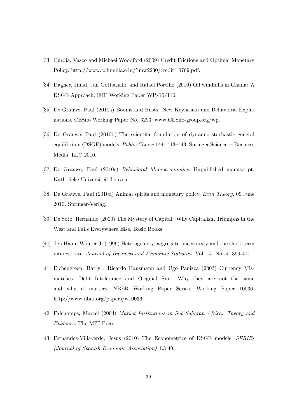- [33] Curdia, Vasco and Michael Woodford (2009) Credit Frictions and Optimal Monetary Policy. http://www.columbia.edu/~mw2230/credit\_0709.pdf.
- [34] Dagher, Jihad, Jan Gottschalk, and Rafael Portillo (2010) Oil windfalls in Ghana: A DSGE Approach. IMF Working Paper WP/10/116.
- [35] De Grauwe, Paul (2010a) Booms and Busts: New Keynesian and Behavioral Explanations. CESifo Working Paper No. 3293. www.CESifo-group.org/wp.
- [36] De Grauwe, Paul (2010b) The scientific foundation of dynamic stochastic general equilibrium (DSGE) models. Public Choice 144:  $413-443$ . Springer Science + Business Media, LLC 2010.
- [37] De Grauwe, Paul (2010c) Behavioral Macroeconomics. Unpublished manuscript, Katholieke Universiteit Leuven.
- [38] De Grauwe, Paul (2010d) Animal spirits and monetary policy. Econ Theory, 09 June 2010. Springer-Verlag.
- [39] De Soto, Hernando (2000) The Mystery of Capital: Why Capitalism Triumphs in the West and Fails Everywhere Else. Basic Books.
- [40] den Haan, Wouter J. (1996) Heterogeniety, aggregate uncertainty and the short-term interest rate. Journal of Business and Economic Statistics, Vol. 14, No. 4: 399-411.
- [41] Eichengreen, Barry , Ricardo Hausmann and Ugo Panizza (2003) Currency Mismatches, Debt Intolerance and Original Sin: Why they are not the same and why it matters. NBER Working Paper Series, Working Paper 10036. http://www.nber.org/papers/w10036.
- [42] Fafchamps, Marcel (2004) Market Institutions in Sub-Saharan Africa: Theory and Evidence. The MIT Press.
- [43] Fernandez-Villaverde, Jesus (2010) The Econometrics of DSGE models. SERIEs (Journal of Spanish Economic Association) 1:3-49.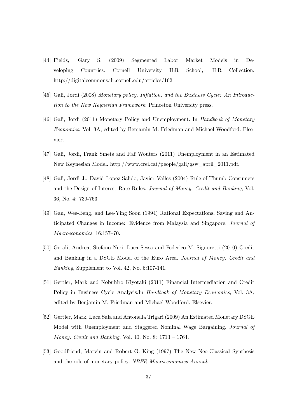- [44] Fields, Gary S. (2009) Segmented Labor Market Models in Developing Countries. Cornell University ILR School, ILR Collection. http://digitalcommons.ilr.cornell.edu/articles/162.
- [45] Gali, Jordi (2008) Monetary policy, Inflation, and the Business Cycle: An Introduction to the New Keynesian Framework. Princeton University press.
- [46] Gali, Jordi (2011) Monetary Policy and Unemployment. In Handbook of Monetary Economics, Vol. 3A, edited by Benjamin M. Friedman and Michael Woodford. Elsevier.
- [47] Gali, Jordi, Frank Smets and Raf Wouters (2011) Unemployment in an Estimated New Keynesian Model. http://www.crei.cat/people/gali/gsw\_april\_2011.pdf.
- [48] Gali, Jordi J., David Lopez-Salido, Javier Valles (2004) Rule-of-Thumb Consumers and the Design of Interest Rate Rules. Journal of Money, Credit and Banking, Vol. 36, No. 4: 739-763.
- [49] Gan, Wee-Beng, and Lee-Ying Soon (1994) Rational Expectations, Saving and Anticipated Changes in Income: Evidence from Malaysia and Singapore. Journal of  $Macroeconomics, 16:157–70.$
- [50] Gerali, Andrea, Stefano Neri, Luca Sessa and Federico M. Signoretti (2010) Credit and Banking in a DSGE Model of the Euro Area. Journal of Money, Credit and Banking, Supplement to Vol. 42, No. 6:107-141.
- [51] Gertler, Mark and Nobuhiro Kiyotaki (2011) Financial Intermediation and Credit Policy in Business Cycle Analysis.In Handbook of Monetary Economics, Vol. 3A, edited by Benjamin M. Friedman and Michael Woodford. Elsevier.
- [52] Gertler, Mark, Luca Sala and Antonella Trigari (2009) An Estimated Monetary DSGE Model with Unemployment and Staggered Nominal Wage Bargaining. Journal of *Money, Credit and Banking, Vol. 40, No. 8:*  $1713 - 1764$ .
- [53] Goodfriend, Marvin and Robert G. King (1997) The New Neo-Classical Synthesis and the role of monetary policy. NBER Macroeconomics Annual.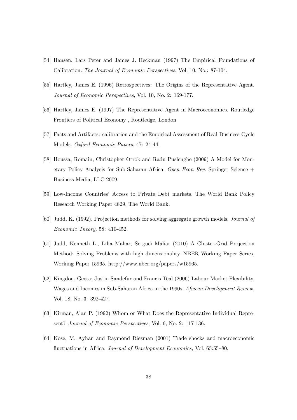- [54] Hansen, Lars Peter and James J. Heckman (1997) The Empirical Foundations of Calibration. The Journal of Economic Perspectives, Vol. 10, No.: 87-104.
- [55] Hartley, James E. (1996) Retrospectives: The Origins of the Representative Agent. Journal of Economic Perspectives, Vol. 10, No. 2: 169-177.
- [56] Hartley, James E. (1997) The Representative Agent in Macroeconomics. Routledge Frontiers of Political Economy , Routledge, London
- [57] Facts and Artifacts: calibration and the Empirical Assessment of Real-Business-Cycle Models. Oxford Economic Papers, 47: 24-44.
- [58] Houssa, Romain, Christopher Otrok and Radu Puslenghe (2009) A Model for Monetary Policy Analysis for Sub-Saharan Africa. Open Econ Rev. Springer Science + Business Media, LLC 2009.
- [59] Low-Income Countries' Access to Private Debt markets. The World Bank Policy Research Working Paper 4829, The World Bank.
- [60] Judd, K. (1992). Projection methods for solving aggregate growth models. Journal of Economic Theory, 58: 410-452.
- [61] Judd, Kenneth L., Lilia Maliar, Serguei Maliar (2010) A Cluster-Grid Projection Method: Solving Problems with high dimensionality. NBER Working Paper Series, Working Paper 15965. http://www.nber.org/papers/w15965.
- [62] Kingdon, Geeta; Justin Sandefur and Francis Teal (2006) Labour Market Flexibility, Wages and Incomes in Sub-Saharan Africa in the 1990s. African Development Review, Vol. 18, No. 3: 392-427.
- [63] Kirman, Alan P. (1992) Whom or What Does the Representative Individual Represent? Journal of Economic Perspectives, Vol. 6, No. 2: 117-136.
- [64] Kose, M. Ayhan and Raymond Riezman (2001) Trade shocks and macroeconomic fluctuations in Africa. Journal of Development Economics, Vol. 65:55-80.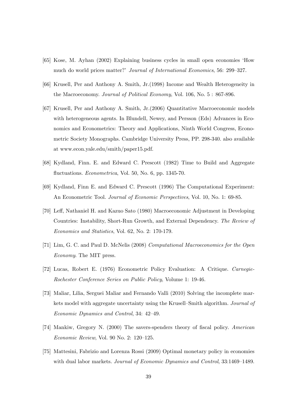- [65] Kose, M. Ayhan (2002) Explaining business cycles in small open economies ëHow much do world prices matter?' Journal of International Economics, 56: 299-327.
- [66] Krusell, Per and Anthony A. Smith, Jr.(1998) Income and Wealth Heterogeneity in the Macroeconomy. Journal of Political Economy, Vol. 106, No. 5 : 867-896.
- [67] Krusell, Per and Anthony A. Smith, Jr.(2006) Quantitative Macroeconomic models with heterogeneous agents. In Blundell, Newey, and Persson (Eds) Advances in Economics and Econometrics: Theory and Applications, Ninth World Congress, Econometric Society Monographs. Cambridge University Press, PP. 298-340. also available at www.econ.yale.edu/smith/paper15.pdf.
- [68] Kydland, Finn. E. and Edward C. Prescott (1982) Time to Build and Aggregate fluctuations. *Econometrica*, Vol. 50, No. 6, pp. 1345-70.
- [69] Kydland, Finn E. and Edward C. Prescott (1996) The Computational Experiment: An Econometric Tool. Journal of Economic Perspectives, Vol. 10, No. 1: 69-85.
- [70] Leff, Nathaniel H. and Kazuo Sato (1980) Macroeconomic Adjustment in Developing Countries: Instability, Short-Run Growth, and External Dependency. The Review of Economics and Statistics, Vol. 62, No. 2: 170-179.
- [71] Lim, G. C. and Paul D. McNelis (2008) Computational Macroeconomics for the Open Economy. The MIT press.
- [72] Lucas, Robert E. (1976) Econometric Policy Evaluation: A Critique. Carnegie-Rochester Conference Series on Public Policy, Volume 1: 19-46.
- [73] Maliar, Lilia, Serguei Maliar and Fernando Valli (2010) Solving the incomplete markets model with aggregate uncertainty using the Krusell–Smith algorithm. Journal of Economic Dynamics and Control, 34: 42-49.
- [74] Mankiw, Gregory N. (2000) The savers-spenders theory of fiscal policy. American  $Economic Review$ , Vol. 90 No. 2: 120-125.
- [75] Mattesini, Fabrizio and Lorenza Rossi (2009) Optimal monetary policy in economies with dual labor markets. Journal of Economic Dynamics and Control, 33:1469–1489.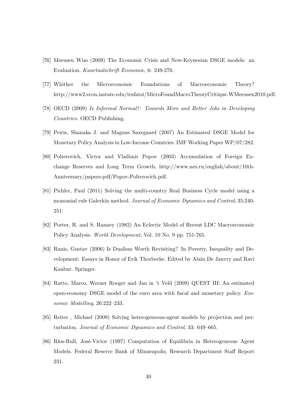- [76] Meeusen Wim (2009) The Economic Crisis and New-Keynesian DSGE models: an Evaluation. Kwartaalschrift Economie, 6: 249-276.
- [77] Whither the Microeconomic Foundations of Macroeconomic Theory? http://www2.econ.iastate.edu/tesfatsi/MicroFoundMacroTheoryCritique.WMeeusen2010.pdf.
- [78] OECD (2009) Is Informal Normal?: Towards More and Better Jobs in Developing Countries. OECD Publishing.
- [79] Peiris, Shanaka J. and Magnus Saxegaard (2007) An Estimated DSGE Model for Monetary Policy Analysis in Low-Income Countries. IMF Working Paper WP/07/282.
- [80] Polterovich, Victor and Vladimir Popov (2003) Accumulation of Foreign Exchange Reserves and Long Term Growth. http://www.nes.ru/english/about/10th-Anniversary/papers-pdf/Popov-Polterovich.pdf.
- [81] Pichler, Paul (2011) Solving the multi-country Real Business Cycle model using a monomial rule Galerkin method. Journal of Economic Dynamics and Control, 35:240- 251.
- [82] Porter, R. and S. Ranney (1982) An Eclectic Model of Recent LDC Macroeconomic Policy Analysis. World Development, Vol. 10 No. 9 pp. 751-765.
- [83] Ranis, Gustav (2006) Is Dualism Worth Revisiting? In Poverty, Inequality and Development: Essays in Honor of Erik Thorbecke. Edited by Alain De Janvry and Ravi Kanbur. Springer.
- [84] Ratto, Marco, Werner Roeger and Jan in ít Veld (2009) QUEST III: An estimated open-economy DSGE model of the euro area with fiscal and monetary policy. Economic Modelling,  $26:222-233$ .
- [85] Reiter , Michael (2009) Solving heterogeneous-agent models by projection and perturbation. Journal of Economic Dynamics and Control, 33: 649–665.
- [86] RÌos-Rull, JosÈ-VÌctor (1997) Computation of Equilibria in Heterogeneous Agent Models. Federal Reserve Bank of Minneapolis, Research Department Staff Report 231.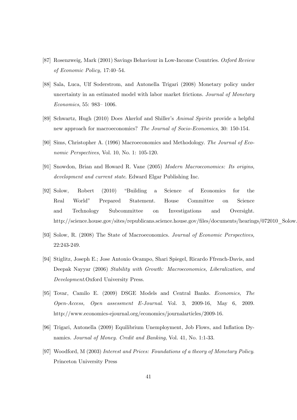- [87] Rosenzweig, Mark (2001) Savings Behaviour in Low-Income Countries. Oxford Review of Economic Policy, 17:40-54.
- [88] Sala, Luca, Ulf Soderstrom, and Antonella Trigari (2008) Monetary policy under uncertainty in an estimated model with labor market frictions. Journal of Monetary  $Economics, 55: 983 - 1006.$
- [89] Schwartz, Hugh (2010) Does Akerlof and Shiller's Animal Spirits provide a helpful new approach for macroeconomics? The Journal of Socio-Economics, 30: 150-154.
- [90] Sims, Christopher A. (1996) Macroeconomics and Methodology. The Journal of Economic Perspectives, Vol. 10, No. 1: 105-120.
- [91] Snowdon, Brian and Howard R. Vane (2005) Modern Macroeconomics: Its origins, development and current state. Edward Elgar Publishing Inc.
- [92] Solow, Robert (2010) "Building a Science of Economics for the Real Worldî Prepared Statement. House Committee on Science and Technology Subcommittee on Investigations and Oversight. http://science.house.gov/sites/republicans.science.house.gov/files/documents/hearings/072010\_Solow
- [93] Solow, R. (2008) The State of Macroeconomics. Journal of Economic Perspectives, 22:243-249.
- [94] Stiglitz, Joseph E.; Jose Antonio Ocampo, Shari Spiegel, Ricardo Ffrench-Davis, and Deepak Nayyar (2006) Stability with Growth: Macroeconomics, Liberalization, and Development.Oxford University Press.
- [95] Tovar, Camilo E. (2009) DSGE Models and Central Banks. Economics, The Open-Access, Open assessment E-Journal. Vol. 3, 2009-16, May 6, 2009. http://www.economics-ejournal.org/economics/journalarticles/2009-16.
- [96] Trigari, Antonella (2009) Equilibrium Unemployment, Job Flows, and Ináation Dynamics. Journal of Money. Credit and Banking, Vol. 41, No. 1:1-33.
- [97] Woodford, M (2003) Interest and Prices: Foundations of a theory of Monetary Policy. Princeton University Press